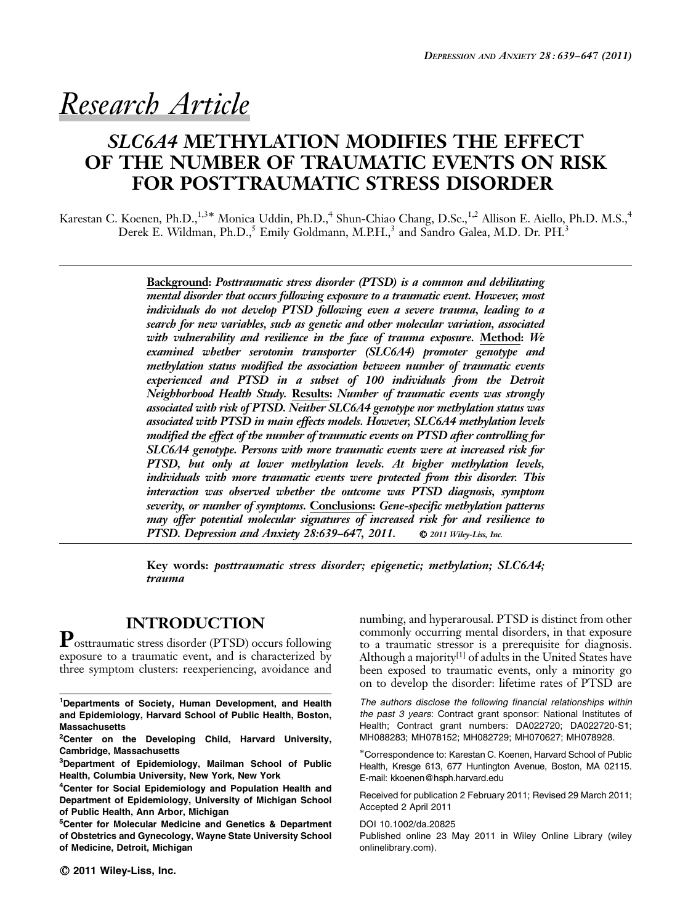# Research Article

# SLC6A4 METHYLATION MODIFIES THE EFFECT OF THE NUMBER OF TRAUMATIC EVENTS ON RISK FOR POSTTRAUMATIC STRESS DISORDER

Karestan C. Koenen, Ph.D.,<sup>1,3\*</sup> Monica Uddin, Ph.D.,<sup>4</sup> Shun-Chiao Chang, D.Sc.,<sup>1,2</sup> Allison E. Aiello, Ph.D. M.S.,<sup>4</sup> Derek E. Wildman, Ph.D.,<sup>5</sup> Emily Goldmann, M.P.H.,<sup>3</sup> and Sandro Galea, M.D. Dr. PH.<sup>3</sup>

> Background: Posttraumatic stress disorder (PTSD) is a common and debilitating mental disorder that occurs following exposure to a traumatic event. However, most individuals do not develop PTSD following even a severe trauma, leading to a search for new variables, such as genetic and other molecular variation, associated with vulnerability and resilience in the face of trauma exposure. Method: We examined whether serotonin transporter (SLC6A4) promoter genotype and methylation status modified the association between number of traumatic events experienced and PTSD in a subset of 100 individuals from the Detroit Neighborhood Health Study. Results: Number of traumatic events was strongly associated with risk of PTSD. Neither SLC6A4 genotype nor methylation status was associated with PTSD in main effects models. However, SLC6A4 methylation levels modified the effect of the number of traumatic events on PTSD after controlling for SLC6A4 genotype. Persons with more traumatic events were at increased risk for PTSD, but only at lower methylation levels. At higher methylation levels, individuals with more traumatic events were protected from this disorder. This interaction was observed whether the outcome was PTSD diagnosis, symptom severity, or number of symptoms. Conclusions: Gene-specific methylation patterns may offer potential molecular signatures of increased risk for and resilience to PTSD. Depression and Anxiety 28:639-647, 2011. © 2011 Wiley-Liss, Inc.

> Key words: posttraumatic stress disorder; epigenetic; methylation; SLC6A4; trauma

# INTRODUCTION

Posttraumatic stress disorder (PTSD) occurs following exposure to a traumatic event, and is characterized by three symptom clusters: reexperiencing, avoidance and

3 Department of Epidemiology, Mailman School of Public Health, Columbia University, New York, New York

<sup>4</sup>Center for Social Epidemiology and Population Health and Department of Epidemiology, University of Michigan School of Public Health, Ann Arbor, Michigan

5 Center for Molecular Medicine and Genetics & Department of Obstetrics and Gynecology, Wayne State University School of Medicine, Detroit, Michigan

numbing, and hyperarousal. PTSD is distinct from other commonly occurring mental disorders, in that exposure to a traumatic stressor is a prerequisite for diagnosis. Although a majority<sup>[1]</sup> of adults in the United States have been exposed to traumatic events, only a minority go on to develop the disorder: lifetime rates of PTSD are

The authors disclose the following financial relationships within the past 3 years: Contract grant sponsor: National Institutes of Health; Contract grant numbers: DA022720; DA022720-S1; MH088283; MH078152; MH082729; MH070627; MH078928.

-Correspondence to: Karestan C. Koenen, Harvard School of Public Health, Kresge 613, 677 Huntington Avenue, Boston, MA 02115. E-mail: kkoenen@hsph.harvard.edu

Received for publication 2 February 2011; Revised 29 March 2011; Accepted 2 April 2011

DOI 10.1002/da.20825

Published online 23 May 2011 in Wiley Online Library (wiley onlinelibrary.com).

<sup>&</sup>lt;sup>1</sup>Departments of Society, Human Development, and Health and Epidemiology, Harvard School of Public Health, Boston, Massachusetts

<sup>&</sup>lt;sup>2</sup>Center on the Developing Child, Harvard University, Cambridge, Massachusetts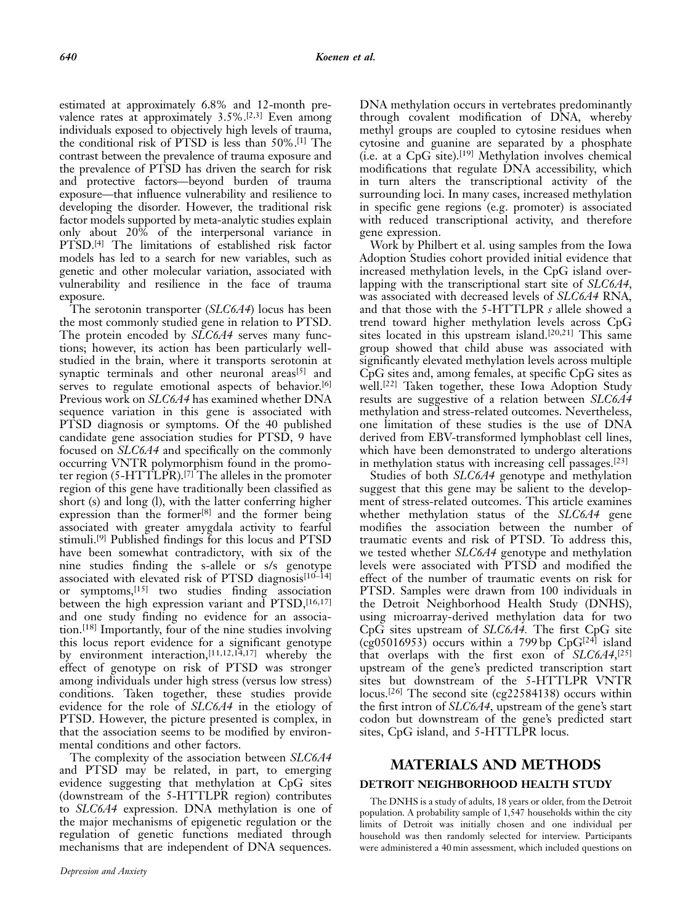estimated at approximately 6.8% and 12-month prevalence rates at approximately  $3.5\%$ .<sup>[2,3]</sup> Even among individuals exposed to objectively high levels of trauma, the conditional risk of PTSD is less than 50%.[1] The contrast between the prevalence of trauma exposure and the prevalence of PTSD has driven the search for risk and protective factors—beyond burden of trauma exposure—that influence vulnerability and resilience to developing the disorder. However, the traditional risk factor models supported by meta-analytic studies explain only about 20% of the interpersonal variance in PTSD.[4] The limitations of established risk factor models has led to a search for new variables, such as genetic and other molecular variation, associated with vulnerability and resilience in the face of trauma exposure.

The serotonin transporter (SLC6A4) locus has been the most commonly studied gene in relation to PTSD. The protein encoded by SLC6A4 serves many functions; however, its action has been particularly wellstudied in the brain, where it transports serotonin at synaptic terminals and other neuronal areas<sup>[5]</sup> and serves to regulate emotional aspects of behavior.<sup>[6]</sup> Previous work on SLC6A4 has examined whether DNA sequence variation in this gene is associated with PTSD diagnosis or symptoms. Of the 40 published candidate gene association studies for PTSD, 9 have focused on SLC6A4 and specifically on the commonly occurring VNTR polymorphism found in the promoter region (5-HTTLPR).[7] The alleles in the promoter region of this gene have traditionally been classified as short (s) and long (l), with the latter conferring higher expression than the former<sup>[8]</sup> and the former being associated with greater amygdala activity to fearful stimuli.[9] Published findings for this locus and PTSD have been somewhat contradictory, with six of the nine studies finding the s-allele or s/s genotype associated with elevated risk of PTSD diagnosis $[10-14]$ or symptoms,[15] two studies finding association between the high expression variant and PTSD, [16,17] and one study finding no evidence for an association.[18] Importantly, four of the nine studies involving this locus report evidence for a significant genotype by environment interaction,<sup>[11,12,14,17]</sup> whereby the effect of genotype on risk of PTSD was stronger among individuals under high stress (versus low stress) conditions. Taken together, these studies provide evidence for the role of SLC6A4 in the etiology of PTSD. However, the picture presented is complex, in that the association seems to be modified by environmental conditions and other factors.

The complexity of the association between SLC6A4 and PTSD may be related, in part, to emerging evidence suggesting that methylation at CpG sites (downstream of the 5-HTTLPR region) contributes to SLC6A4 expression. DNA methylation is one of the major mechanisms of epigenetic regulation or the regulation of genetic functions mediated through mechanisms that are independent of DNA sequences. DNA methylation occurs in vertebrates predominantly through covalent modification of DNA, whereby methyl groups are coupled to cytosine residues when cytosine and guanine are separated by a phosphate (i.e. at a CpG site).[19] Methylation involves chemical modifications that regulate DNA accessibility, which in turn alters the transcriptional activity of the surrounding loci. In many cases, increased methylation in specific gene regions (e.g. promoter) is associated with reduced transcriptional activity, and therefore gene expression.

Work by Philbert et al. using samples from the Iowa Adoption Studies cohort provided initial evidence that increased methylation levels, in the CpG island overlapping with the transcriptional start site of SLC6A4, was associated with decreased levels of SLC6A4 RNA, and that those with the 5-HTTLPR s allele showed a trend toward higher methylation levels across CpG sites located in this upstream island.<sup>[20,21]</sup> This same group showed that child abuse was associated with significantly elevated methylation levels across multiple CpG sites and, among females, at specific CpG sites as well.[22] Taken together, these Iowa Adoption Study results are suggestive of a relation between SLC6A4 methylation and stress-related outcomes. Nevertheless, one limitation of these studies is the use of DNA derived from EBV-transformed lymphoblast cell lines, which have been demonstrated to undergo alterations in methylation status with increasing cell passages.[23]

Studies of both SLC6A4 genotype and methylation suggest that this gene may be salient to the development of stress-related outcomes. This article examines whether methylation status of the SLC6A4 gene modifies the association between the number of traumatic events and risk of PTSD. To address this, we tested whether SLC6A4 genotype and methylation levels were associated with PTSD and modified the effect of the number of traumatic events on risk for PTSD. Samples were drawn from 100 individuals in the Detroit Neighborhood Health Study (DNHS), using microarray-derived methylation data for two CpG sites upstream of SLC6A4. The first CpG site  $(cg05016953)$  occurs within a 799 bp CpG<sup>[24]</sup> island that overlaps with the first exon of SLC6A4,<sup>[25]</sup> upstream of the gene's predicted transcription start sites but downstream of the 5-HTTLPR VNTR locus.<sup>[26]</sup> The second site (cg22584138) occurs within the first intron of SLC6A4, upstream of the gene's start codon but downstream of the gene's predicted start sites, CpG island, and 5-HTTLPR locus.

# MATERIALS AND METHODS DETROIT NEIGHBORHOOD HEALTH STUDY

The DNHS is a study of adults, 18 years or older, from the Detroit population. A probability sample of 1,547 households within the city limits of Detroit was initially chosen and one individual per household was then randomly selected for interview. Participants were administered a 40 min assessment, which included questions on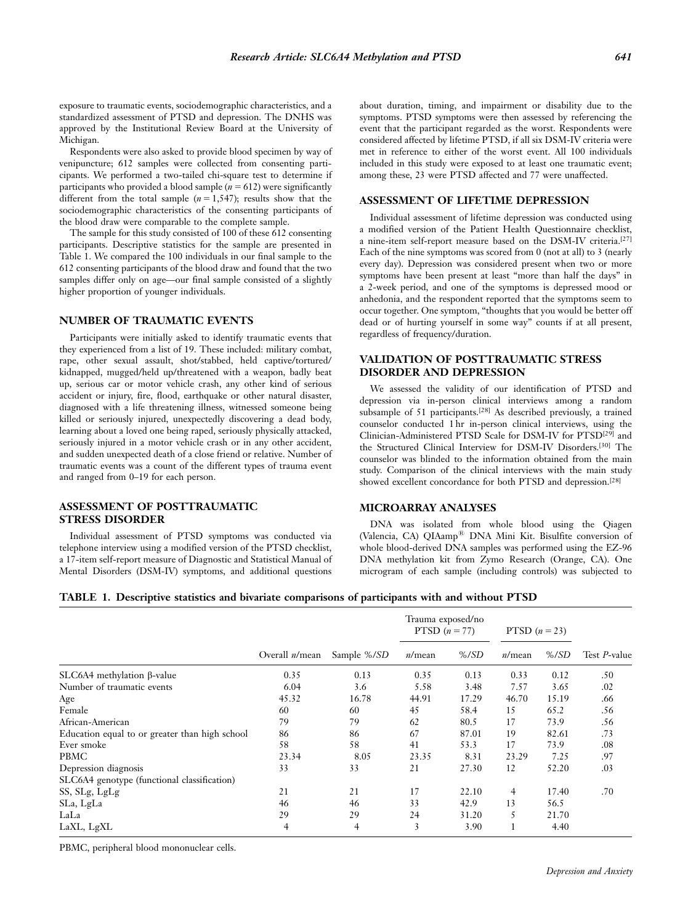exposure to traumatic events, sociodemographic characteristics, and a standardized assessment of PTSD and depression. The DNHS was approved by the Institutional Review Board at the University of Michigan.

Respondents were also asked to provide blood specimen by way of venipuncture; 612 samples were collected from consenting participants. We performed a two-tailed chi-square test to determine if participants who provided a blood sample ( $n = 612$ ) were significantly different from the total sample ( $n = 1,547$ ); results show that the sociodemographic characteristics of the consenting participants of the blood draw were comparable to the complete sample.

The sample for this study consisted of 100 of these 612 consenting participants. Descriptive statistics for the sample are presented in Table 1. We compared the 100 individuals in our final sample to the 612 consenting participants of the blood draw and found that the two samples differ only on age—our final sample consisted of a slightly higher proportion of younger individuals.

#### NUMBER OF TRAUMATIC EVENTS

Participants were initially asked to identify traumatic events that they experienced from a list of 19. These included: military combat, rape, other sexual assault, shot/stabbed, held captive/tortured/ kidnapped, mugged/held up/threatened with a weapon, badly beat up, serious car or motor vehicle crash, any other kind of serious accident or injury, fire, flood, earthquake or other natural disaster, diagnosed with a life threatening illness, witnessed someone being killed or seriously injured, unexpectedly discovering a dead body, learning about a loved one being raped, seriously physically attacked, seriously injured in a motor vehicle crash or in any other accident, and sudden unexpected death of a close friend or relative. Number of traumatic events was a count of the different types of trauma event and ranged from 0–19 for each person.

#### ASSESSMENT OF POSTTRAUMATIC STRESS DISORDER

Individual assessment of PTSD symptoms was conducted via telephone interview using a modified version of the PTSD checklist, a 17-item self-report measure of Diagnostic and Statistical Manual of Mental Disorders (DSM-IV) symptoms, and additional questions about duration, timing, and impairment or disability due to the symptoms. PTSD symptoms were then assessed by referencing the event that the participant regarded as the worst. Respondents were considered affected by lifetime PTSD, if all six DSM-IV criteria were met in reference to either of the worst event. All 100 individuals included in this study were exposed to at least one traumatic event; among these, 23 were PTSD affected and 77 were unaffected.

#### ASSESSMENT OF LIFETIME DEPRESSION

Individual assessment of lifetime depression was conducted using a modified version of the Patient Health Questionnaire checklist, a nine-item self-report measure based on the DSM-IV criteria.[27] Each of the nine symptoms was scored from 0 (not at all) to 3 (nearly every day). Depression was considered present when two or more symptoms have been present at least ''more than half the days'' in a 2-week period, and one of the symptoms is depressed mood or anhedonia, and the respondent reported that the symptoms seem to occur together. One symptom, ''thoughts that you would be better off dead or of hurting yourself in some way'' counts if at all present, regardless of frequency/duration.

#### VALIDATION OF POSTTRAUMATIC STRESS DISORDER AND DEPRESSION

We assessed the validity of our identification of PTSD and depression via in-person clinical interviews among a random subsample of 51 participants.[28] As described previously, a trained counselor conducted 1 hr in-person clinical interviews, using the Clinician-Administered PTSD Scale for DSM-IV for PTSD[29] and the Structured Clinical Interview for DSM-IV Disorders.[30] The counselor was blinded to the information obtained from the main study. Comparison of the clinical interviews with the main study showed excellent concordance for both PTSD and depression.<sup>[28]</sup>

#### MICROARRAY ANALYSES

DNA was isolated from whole blood using the Qiagen (Valencia, CA) QIAamp<sup>®</sup> DNA Mini Kit. Bisulfite conversion of whole blood-derived DNA samples was performed using the EZ-96 DNA methylation kit from Zymo Research (Orange, CA). One microgram of each sample (including controls) was subjected to

| TABLE 1. Descriptive statistics and bivariate comparisons of participants with and without PTSD |  |  |  |
|-------------------------------------------------------------------------------------------------|--|--|--|
|                                                                                                 |  |  |  |

|                                                | Overall $n/mean$ |             | Trauma exposed/no<br>PTSD $(n = 77)$ |         | PTSD $(n=23)$ |         |              |
|------------------------------------------------|------------------|-------------|--------------------------------------|---------|---------------|---------|--------------|
|                                                |                  | Sample %/SD | n/mean                               | $%$ /SD | n/mean        | $%$ /SD | Test P-value |
| $SLC6A4$ methylation $\beta$ -value            | 0.35             | 0.13        | 0.35                                 | 0.13    | 0.33          | 0.12    | .50          |
| Number of traumatic events                     | 6.04             | 3.6         | 5.58                                 | 3.48    | 7.57          | 3.65    | .02          |
| Age                                            | 45.32            | 16.78       | 44.91                                | 17.29   | 46.70         | 15.19   | .66          |
| Female                                         | 60               | 60          | 45                                   | 58.4    | 15            | 65.2    | .56          |
| African-American                               | 79               | 79          | 62                                   | 80.5    | 17            | 73.9    | .56          |
| Education equal to or greater than high school | 86               | 86          | 67                                   | 87.01   | 19            | 82.61   | .73          |
| Ever smoke                                     | 58               | 58          | 41                                   | 53.3    | 17            | 73.9    | .08          |
| PBMC                                           | 23.34            | 8.05        | 23.35                                | 8.31    | 23.29         | 7.25    | .97          |
| Depression diagnosis                           | 33               | 33          | 21                                   | 27.30   | 12            | 52.20   | .03          |
| SLC6A4 genotype (functional classification)    |                  |             |                                      |         |               |         |              |
| SS, SLg, LgLg                                  | 21               | 21          | 17                                   | 22.10   | 4             | 17.40   | .70          |
| SLa, LgLa                                      | 46               | 46          | 33                                   | 42.9    | 13            | 56.5    |              |
| LaLa                                           | 29               | 29          | 24                                   | 31.20   | 5             | 21.70   |              |
| LaXL, LgXL                                     | 4                | 4           | 3                                    | 3.90    | 1             | 4.40    |              |

PBMC, peripheral blood mononuclear cells.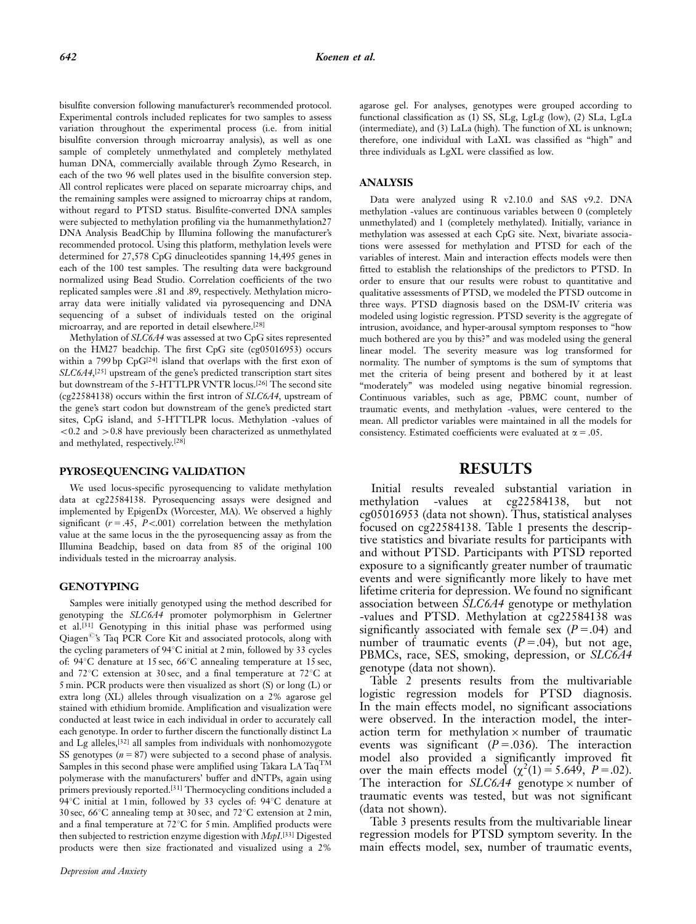bisulfite conversion following manufacturer's recommended protocol. Experimental controls included replicates for two samples to assess variation throughout the experimental process (i.e. from initial bisulfite conversion through microarray analysis), as well as one sample of completely unmethylated and completely methylated human DNA, commercially available through Zymo Research, in each of the two 96 well plates used in the bisulfite conversion step. All control replicates were placed on separate microarray chips, and the remaining samples were assigned to microarray chips at random, without regard to PTSD status. Bisulfite-converted DNA samples were subjected to methylation profiling via the humanmethylation27 DNA Analysis BeadChip by Illumina following the manufacturer's recommended protocol. Using this platform, methylation levels were determined for 27,578 CpG dinucleotides spanning 14,495 genes in each of the 100 test samples. The resulting data were background normalized using Bead Studio. Correlation coefficients of the two replicated samples were .81 and .89, respectively. Methylation microarray data were initially validated via pyrosequencing and DNA sequencing of a subset of individuals tested on the original microarray, and are reported in detail elsewhere.[28]

Methylation of SLC6A4 was assessed at two CpG sites represented on the HM27 beadchip. The first CpG site (cg05016953) occurs within a 799 bp CpG<sup>[24]</sup> island that overlaps with the first exon of SLC6A4,<sup>[25]</sup> upstream of the gene's predicted transcription start sites but downstream of the 5-HTTLPR VNTR locus.[26] The second site (cg22584138) occurs within the first intron of SLC6A4, upstream of the gene's start codon but downstream of the gene's predicted start sites, CpG island, and 5-HTTLPR locus. Methylation -values of  $<$  0.2 and  $>$  0.8 have previously been characterized as unmethylated and methylated, respectively.[28]

#### PYROSEQUENCING VALIDATION

We used locus-specific pyrosequencing to validate methylation data at cg22584138. Pyrosequencing assays were designed and implemented by EpigenDx (Worcester, MA). We observed a highly significant ( $r = .45$ ,  $P < .001$ ) correlation between the methylation value at the same locus in the the pyrosequencing assay as from the Illumina Beadchip, based on data from 85 of the original 100 individuals tested in the microarray analysis.

#### **GENOTYPING**

Samples were initially genotyped using the method described for genotyping the SLC6A4 promoter polymorphism in Gelertner et al.[31] Genotyping in this initial phase was performed using Qiagen<sup>©</sup>'s Taq PCR Core Kit and associated protocols, along with the cycling parameters of  $94^{\circ}$ C initial at 2 min, followed by 33 cycles of:  $94^{\circ}$ C denature at 15 sec,  $66^{\circ}$ C annealing temperature at 15 sec, and  $72^{\circ}$ C extension at 30 sec, and a final temperature at  $72^{\circ}$ C at 5 min. PCR products were then visualized as short (S) or long (L) or extra long (XL) alleles through visualization on a 2% agarose gel stained with ethidium bromide. Amplification and visualization were conducted at least twice in each individual in order to accurately call each genotype. In order to further discern the functionally distinct La and Lg alleles,[32] all samples from individuals with nonhomozygote SS genotypes  $(n = 87)$  were subjected to a second phase of analysis. Samples in this second phase were amplified using Takara LA Taq<sup>TM</sup> polymerase with the manufacturers' buffer and dNTPs, again using primers previously reported.[31] Thermocycling conditions included a 94°C initial at 1 min, followed by 33 cycles of: 94°C denature at 30 sec, 66 $\degree$ C annealing temp at 30 sec, and 72 $\degree$ C extension at 2 min, and a final temperature at  $72^{\circ}$ C for 5 min. Amplified products were then subjected to restriction enzyme digestion with *MspI*.<sup>[33]</sup> Digested products were then size fractionated and visualized using a 2%

agarose gel. For analyses, genotypes were grouped according to functional classification as (1) SS, SLg, LgLg (low), (2) SLa, LgLa (intermediate), and (3) LaLa (high). The function of XL is unknown; therefore, one individual with LaXL was classified as ''high'' and three individuals as LgXL were classified as low.

#### ANALYSIS

Data were analyzed using R v2.10.0 and SAS v9.2. DNA methylation -values are continuous variables between 0 (completely unmethylated) and 1 (completely methylated). Initially, variance in methylation was assessed at each CpG site. Next, bivariate associations were assessed for methylation and PTSD for each of the variables of interest. Main and interaction effects models were then fitted to establish the relationships of the predictors to PTSD. In order to ensure that our results were robust to quantitative and qualitative assessments of PTSD, we modeled the PTSD outcome in three ways. PTSD diagnosis based on the DSM-IV criteria was modeled using logistic regression. PTSD severity is the aggregate of intrusion, avoidance, and hyper-arousal symptom responses to ''how much bothered are you by this?'' and was modeled using the general linear model. The severity measure was log transformed for normality. The number of symptoms is the sum of symptoms that met the criteria of being present and bothered by it at least "moderately" was modeled using negative binomial regression. Continuous variables, such as age, PBMC count, number of traumatic events, and methylation -values, were centered to the mean. All predictor variables were maintained in all the models for consistency. Estimated coefficients were evaluated at  $\alpha = .05$ .

### RESULTS

Initial results revealed substantial variation in<br>methylation -values at cg22584138, but not -values at cg22584138, but not cg05016953 (data not shown). Thus, statistical analyses focused on cg22584138. Table 1 presents the descriptive statistics and bivariate results for participants with and without PTSD. Participants with PTSD reported exposure to a significantly greater number of traumatic events and were significantly more likely to have met lifetime criteria for depression. We found no significant association between SLC6A4 genotype or methylation -values and PTSD. Methylation at cg22584138 was significantly associated with female sex  $(P = .04)$  and number of traumatic events  $(P = .04)$ , but not age, PBMCs, race, SES, smoking, depression, or SLC6A4 genotype (data not shown).

Table 2 presents results from the multivariable logistic regression models for PTSD diagnosis. In the main effects model, no significant associations were observed. In the interaction model, the interaction term for methylation  $\times$  number of traumatic events was significant  $(P=.036)$ . The interaction model also provided a significantly improved fit over the main effects model  $(\chi^2(1) = 5.649, P = .02)$ . The interaction for  $SLC6A4$  genotype  $\times$  number of traumatic events was tested, but was not significant (data not shown).

Table 3 presents results from the multivariable linear regression models for PTSD symptom severity. In the main effects model, sex, number of traumatic events,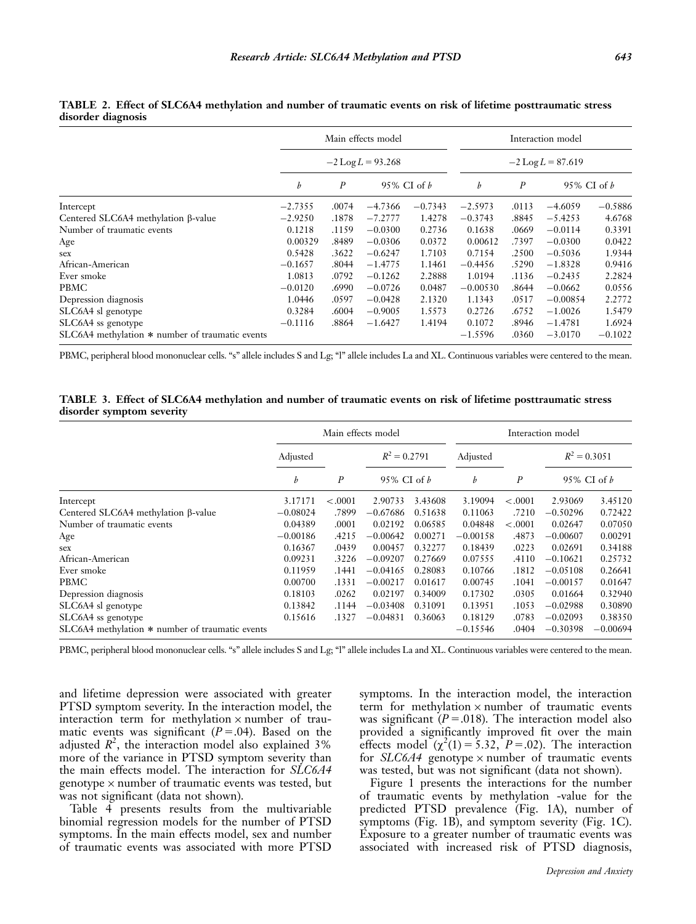|                                                 | Main effects model |                                   |           |           | Interaction model |                       |            |           |  |
|-------------------------------------------------|--------------------|-----------------------------------|-----------|-----------|-------------------|-----------------------|------------|-----------|--|
|                                                 |                    | $-2$ Log $L = 93.268$             |           |           |                   | $-2$ Log $L = 87.619$ |            |           |  |
|                                                 | $\boldsymbol{b}$   | $\boldsymbol{P}$<br>95% CI of $b$ |           | b         | $\boldsymbol{P}$  | 95% CI of <i>b</i>    |            |           |  |
| Intercept                                       | $-2.7355$          | .0074                             | $-4.7366$ | $-0.7343$ | $-2.5973$         | .0113                 | $-4.6059$  | $-0.5886$ |  |
| Centered SLC6A4 methylation β-value             | $-2.9250$          | .1878                             | $-7.2777$ | 1.4278    | $-0.3743$         | .8845                 | $-5.4253$  | 4.6768    |  |
| Number of traumatic events                      | 0.1218             | .1159                             | $-0.0300$ | 0.2736    | 0.1638            | .0669                 | $-0.0114$  | 0.3391    |  |
| Age                                             | 0.00329            | .8489                             | $-0.0306$ | 0.0372    | 0.00612           | .7397                 | $-0.0300$  | 0.0422    |  |
| sex                                             | 0.5428             | .3622                             | $-0.6247$ | 1.7103    | 0.7154            | .2500                 | $-0.5036$  | 1.9344    |  |
| African-American                                | $-0.1657$          | .8044                             | $-1.4775$ | 1.1461    | $-0.4456$         | .5290                 | $-1.8328$  | 0.9416    |  |
| Ever smoke                                      | 1.0813             | .0792                             | $-0.1262$ | 2.2888    | 1.0194            | .1136                 | $-0.2435$  | 2.2824    |  |
| PBMC                                            | $-0.0120$          | .6990                             | $-0.0726$ | 0.0487    | $-0.00530$        | .8644                 | $-0.0662$  | 0.0556    |  |
| Depression diagnosis                            | 1.0446             | .0597                             | $-0.0428$ | 2.1320    | 1.1343            | .0517                 | $-0.00854$ | 2.2772    |  |
| SLC6A4 sl genotype                              | 0.3284             | .6004                             | $-0.9005$ | 1.5573    | 0.2726            | .6752                 | $-1.0026$  | 1.5479    |  |
| SLC6A4 ss genotype                              | $-0.1116$          | .8864                             | $-1.6427$ | 1.4194    | 0.1072            | .8946                 | $-1.4781$  | 1.6924    |  |
| SLC6A4 methylation * number of traumatic events |                    |                                   |           |           | $-1.5596$         | .0360                 | $-3.0170$  | $-0.1022$ |  |

TABLE 2. Effect of SLC6A4 methylation and number of traumatic events on risk of lifetime posttraumatic stress disorder diagnosis

PBMC, peripheral blood mononuclear cells. "s" allele includes S and Lg; "l" allele includes La and XL. Continuous variables were centered to the mean.

TABLE 3. Effect of SLC6A4 methylation and number of traumatic events on risk of lifetime posttraumatic stress disorder symptom severity

|                                                 | Main effects model    |         |                |         | Interaction model |                  |                |            |  |
|-------------------------------------------------|-----------------------|---------|----------------|---------|-------------------|------------------|----------------|------------|--|
|                                                 | Adjusted              |         | $R^2 = 0.2791$ |         | Adjusted          |                  | $R^2 = 0.3051$ |            |  |
|                                                 | $\boldsymbol{P}$<br>b |         | 95% CI of b    |         | b                 | $\boldsymbol{P}$ | 95% CI of $b$  |            |  |
| Intercept                                       | 3.17171               | < .0001 | 2.90733        | 3.43608 | 3.19094           | $-.0001$         | 2.93069        | 3.45120    |  |
| Centered SLC6A4 methylation β-value             | $-0.08024$            | .7899   | $-0.67686$     | 0.51638 | 0.11063           | .7210            | $-0.50296$     | 0.72422    |  |
| Number of traumatic events                      | 0.04389               | .0001   | 0.02192        | 0.06585 | 0.04848           | $-.0001$         | 0.02647        | 0.07050    |  |
| Age                                             | $-0.00186$            | .4215   | $-0.00642$     | 0.00271 | $-0.00158$        | .4873            | $-0.00607$     | 0.00291    |  |
| sex                                             | 0.16367               | .0439   | 0.00457        | 0.32277 | 0.18439           | .0223            | 0.02691        | 0.34188    |  |
| African-American                                | 0.09231               | .3226   | $-0.09207$     | 0.27669 | 0.07555           | .4110            | $-0.10621$     | 0.25732    |  |
| Ever smoke                                      | 0.11959               | .1441   | $-0.04165$     | 0.28083 | 0.10766           | .1812            | $-0.05108$     | 0.26641    |  |
| PBMC                                            | 0.00700               | .1331   | $-0.00217$     | 0.01617 | 0.00745           | .1041            | $-0.00157$     | 0.01647    |  |
| Depression diagnosis                            | 0.18103               | .0262   | 0.02197        | 0.34009 | 0.17302           | .0305            | 0.01664        | 0.32940    |  |
| SLC6A4 sl genotype                              | 0.13842               | .1144   | $-0.03408$     | 0.31091 | 0.13951           | .1053            | $-0.02988$     | 0.30890    |  |
| SLC6A4 ss genotype                              | 0.15616               | .1327   | $-0.04831$     | 0.36063 | 0.18129           | .0783            | $-0.02093$     | 0.38350    |  |
| SLC6A4 methylation * number of traumatic events |                       |         |                |         | $-0.15546$        | .0404            | $-0.30398$     | $-0.00694$ |  |

PBMC, peripheral blood mononuclear cells. "s" allele includes S and Lg; "l" allele includes La and XL. Continuous variables were centered to the mean.

and lifetime depression were associated with greater PTSD symptom severity. In the interaction model, the interaction term for methylation  $\times$  number of traumatic events was significant ( $P = .04$ ). Based on the adjusted  $R^2$ , the interaction model also explained 3% more of the variance in PTSD symptom severity than the main effects model. The interaction for SLC6A4 genotype × number of traumatic events was tested, but was not significant (data not shown).

Table 4 presents results from the multivariable binomial regression models for the number of PTSD symptoms. In the main effects model, sex and number of traumatic events was associated with more PTSD

symptoms. In the interaction model, the interaction term for methylation  $\times$  number of traumatic events was significant ( $P = 018$ ). The interaction model also provided a significantly improved fit over the main effects model  $(\chi^2(1) = 5.32, P = .02)$ . The interaction for  $SLC6A4$  genotype  $\times$  number of traumatic events was tested, but was not significant (data not shown).

Figure 1 presents the interactions for the number of traumatic events by methylation -value for the predicted PTSD prevalence (Fig. 1A), number of symptoms (Fig. 1B), and symptom severity (Fig. 1C). Exposure to a greater number of traumatic events was associated with increased risk of PTSD diagnosis,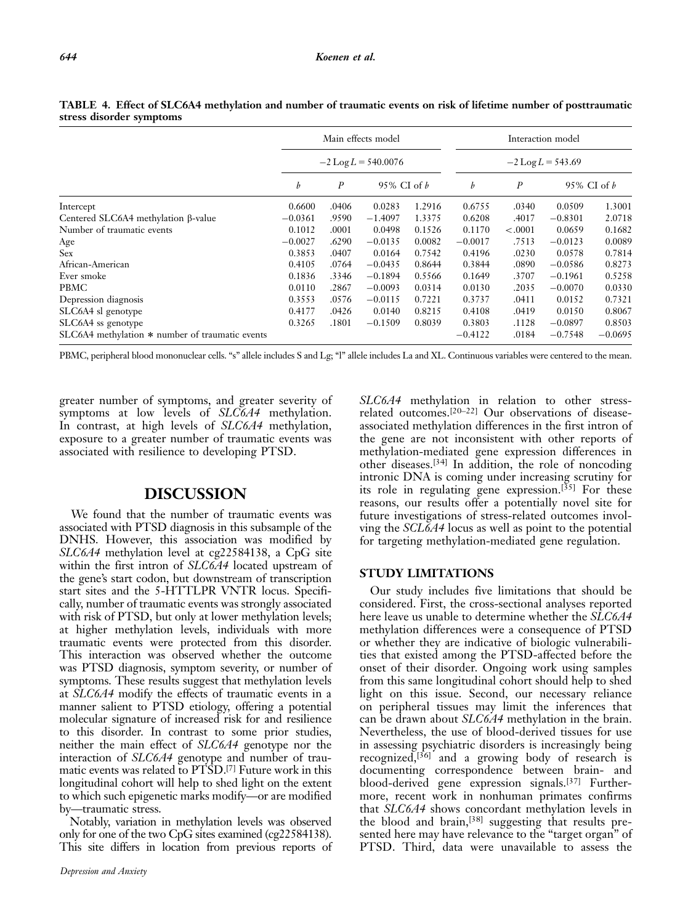|                                                 | Main effects model<br>$-2 \text{Log } L = 540.0076$ |                                   |           |        | Interaction model<br>$-2$ Log L = 543.69 |                  |               |           |  |
|-------------------------------------------------|-----------------------------------------------------|-----------------------------------|-----------|--------|------------------------------------------|------------------|---------------|-----------|--|
|                                                 |                                                     |                                   |           |        |                                          |                  |               |           |  |
|                                                 | b                                                   | $\boldsymbol{P}$<br>95% CI of $b$ |           |        | b                                        | $\boldsymbol{P}$ | 95% CI of $b$ |           |  |
| Intercept                                       | 0.6600                                              | .0406                             | 0.0283    | 1.2916 | 0.6755                                   | .0340            | 0.0509        | 1.3001    |  |
| Centered SLC6A4 methylation β-value             | $-0.0361$                                           | .9590                             | $-1.4097$ | 1.3375 | 0.6208                                   | .4017            | $-0.8301$     | 2.0718    |  |
| Number of traumatic events                      | 0.1012                                              | .0001                             | 0.0498    | 0.1526 | 0.1170                                   | < .0001          | 0.0659        | 0.1682    |  |
| Age                                             | $-0.0027$                                           | .6290                             | $-0.0135$ | 0.0082 | $-0.0017$                                | .7513            | $-0.0123$     | 0.0089    |  |
| Sex                                             | 0.3853                                              | .0407                             | 0.0164    | 0.7542 | 0.4196                                   | .0230            | 0.0578        | 0.7814    |  |
| African-American                                | 0.4105                                              | .0764                             | $-0.0435$ | 0.8644 | 0.3844                                   | .0890            | $-0.0586$     | 0.8273    |  |
| Ever smoke                                      | 0.1836                                              | .3346                             | $-0.1894$ | 0.5566 | 0.1649                                   | .3707            | $-0.1961$     | 0.5258    |  |
| PBMC                                            | 0.0110                                              | .2867                             | $-0.0093$ | 0.0314 | 0.0130                                   | .2035            | $-0.0070$     | 0.0330    |  |
| Depression diagnosis                            | 0.3553                                              | .0576                             | $-0.0115$ | 0.7221 | 0.3737                                   | .0411            | 0.0152        | 0.7321    |  |
| SLC6A4 sl genotype                              | 0.4177                                              | .0426                             | 0.0140    | 0.8215 | 0.4108                                   | .0419            | 0.0150        | 0.8067    |  |
| SLC6A4 ss genotype                              | 0.3265                                              | .1801                             | $-0.1509$ | 0.8039 | 0.3803                                   | .1128            | $-0.0897$     | 0.8503    |  |
| SLC6A4 methylation * number of traumatic events |                                                     |                                   |           |        | $-0.4122$                                | .0184            | $-0.7548$     | $-0.0695$ |  |

TABLE 4. Effect of SLC6A4 methylation and number of traumatic events on risk of lifetime number of posttraumatic stress disorder symptoms

PBMC, peripheral blood mononuclear cells. "s" allele includes S and Lg; "l" allele includes La and XL. Continuous variables were centered to the mean.

greater number of symptoms, and greater severity of symptoms at low levels of SLC6A4 methylation. In contrast, at high levels of SLC6A4 methylation, exposure to a greater number of traumatic events was associated with resilience to developing PTSD.

# DISCUSSION

We found that the number of traumatic events was associated with PTSD diagnosis in this subsample of the DNHS. However, this association was modified by SLC6A4 methylation level at cg22584138, a CpG site within the first intron of SLC6A4 located upstream of the gene's start codon, but downstream of transcription start sites and the 5-HTTLPR VNTR locus. Specifically, number of traumatic events was strongly associated with risk of PTSD, but only at lower methylation levels; at higher methylation levels, individuals with more traumatic events were protected from this disorder. This interaction was observed whether the outcome was PTSD diagnosis, symptom severity, or number of symptoms. These results suggest that methylation levels at SLC6A4 modify the effects of traumatic events in a manner salient to PTSD etiology, offering a potential molecular signature of increased risk for and resilience to this disorder. In contrast to some prior studies, neither the main effect of SLC6A4 genotype nor the interaction of SLC6A4 genotype and number of traumatic events was related to PTSD.<sup>[7]</sup> Future work in this longitudinal cohort will help to shed light on the extent to which such epigenetic marks modify—or are modified by—traumatic stress.

Notably, variation in methylation levels was observed only for one of the two CpG sites examined (cg22584138). This site differs in location from previous reports of SLC6A4 methylation in relation to other stressrelated outcomes.[20–22] Our observations of diseaseassociated methylation differences in the first intron of the gene are not inconsistent with other reports of methylation-mediated gene expression differences in other diseases.[34] In addition, the role of noncoding intronic DNA is coming under increasing scrutiny for its role in regulating gene expression.<sup>[35]</sup> For these reasons, our results offer a potentially novel site for future investigations of stress-related outcomes involving the SCL6A4 locus as well as point to the potential for targeting methylation-mediated gene regulation.

#### STUDY LIMITATIONS

Our study includes five limitations that should be considered. First, the cross-sectional analyses reported here leave us unable to determine whether the SLC6A4 methylation differences were a consequence of PTSD or whether they are indicative of biologic vulnerabilities that existed among the PTSD-affected before the onset of their disorder. Ongoing work using samples from this same longitudinal cohort should help to shed light on this issue. Second, our necessary reliance on peripheral tissues may limit the inferences that can be drawn about SLC6A4 methylation in the brain. Nevertheless, the use of blood-derived tissues for use in assessing psychiatric disorders is increasingly being recognized,<sup>[36]</sup> and a growing body of research is documenting correspondence between brain- and blood-derived gene expression signals.[37] Furthermore, recent work in nonhuman primates confirms that SLC6A4 shows concordant methylation levels in the blood and brain,[38] suggesting that results presented here may have relevance to the "target organ" of PTSD. Third, data were unavailable to assess the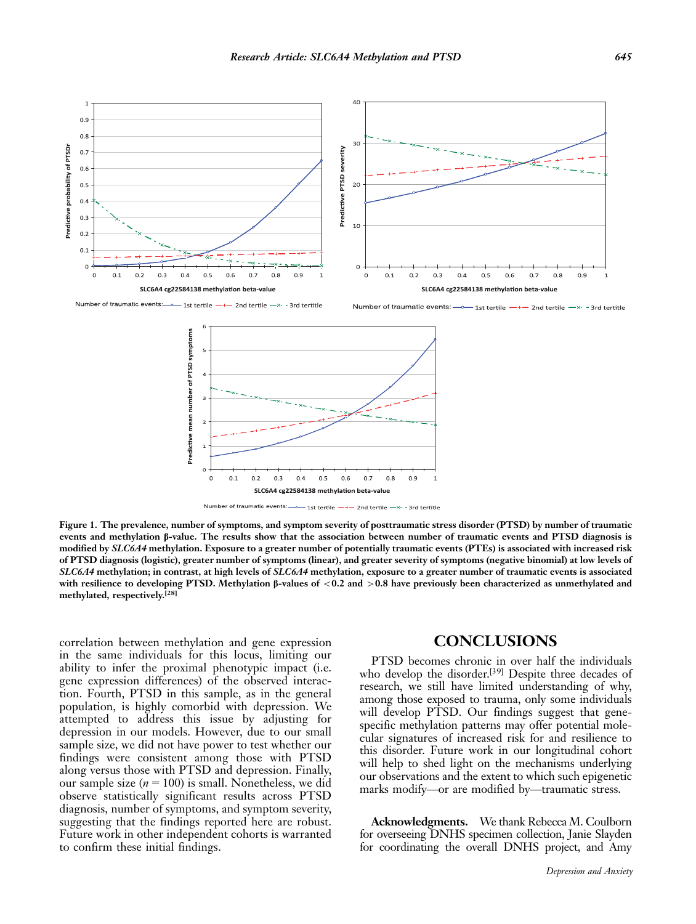

Number of traumatic events:  $\rightarrow$  1st tertile - $-$  2nd tertile  $-x - 3rd$  tertitle

Number of traumatic events: 1st tertile  $-x - 3$ rd tertitle - 2nd tertile





Figure 1. The prevalence, number of symptoms, and symptom severity of posttraumatic stress disorder (PTSD) by number of traumatic events and methylation  $\beta$ -value. The results show that the association between number of traumatic events and PTSD diagnosis is modified by SLC6A4 methylation. Exposure to a greater number of potentially traumatic events (PTEs) is associated with increased risk of PTSD diagnosis (logistic), greater number of symptoms (linear), and greater severity of symptoms (negative binomial) at low levels of SLC6A4 methylation; in contrast, at high levels of SLC6A4 methylation, exposure to a greater number of traumatic events is associated with resilience to developing PTSD. Methylation  $\beta$ -values of <0.2 and >0.8 have previously been characterized as unmethylated and methylated, respectively.[28]

correlation between methylation and gene expression in the same individuals for this locus, limiting our ability to infer the proximal phenotypic impact (i.e. gene expression differences) of the observed interaction. Fourth, PTSD in this sample, as in the general population, is highly comorbid with depression. We attempted to address this issue by adjusting for depression in our models. However, due to our small sample size, we did not have power to test whether our findings were consistent among those with PTSD along versus those with PTSD and depression. Finally, our sample size  $(n = 100)$  is small. Nonetheless, we did observe statistically significant results across PTSD diagnosis, number of symptoms, and symptom severity, suggesting that the findings reported here are robust. Future work in other independent cohorts is warranted to confirm these initial findings.

## **CONCLUSIONS**

PTSD becomes chronic in over half the individuals who develop the disorder.<sup>[39]</sup> Despite three decades of research, we still have limited understanding of why, among those exposed to trauma, only some individuals will develop PTSD. Our findings suggest that genespecific methylation patterns may offer potential molecular signatures of increased risk for and resilience to this disorder. Future work in our longitudinal cohort will help to shed light on the mechanisms underlying our observations and the extent to which such epigenetic marks modify—or are modified by—traumatic stress.

Acknowledgments. We thank Rebecca M. Coulborn for overseeing DNHS specimen collection, Janie Slayden for coordinating the overall DNHS project, and Amy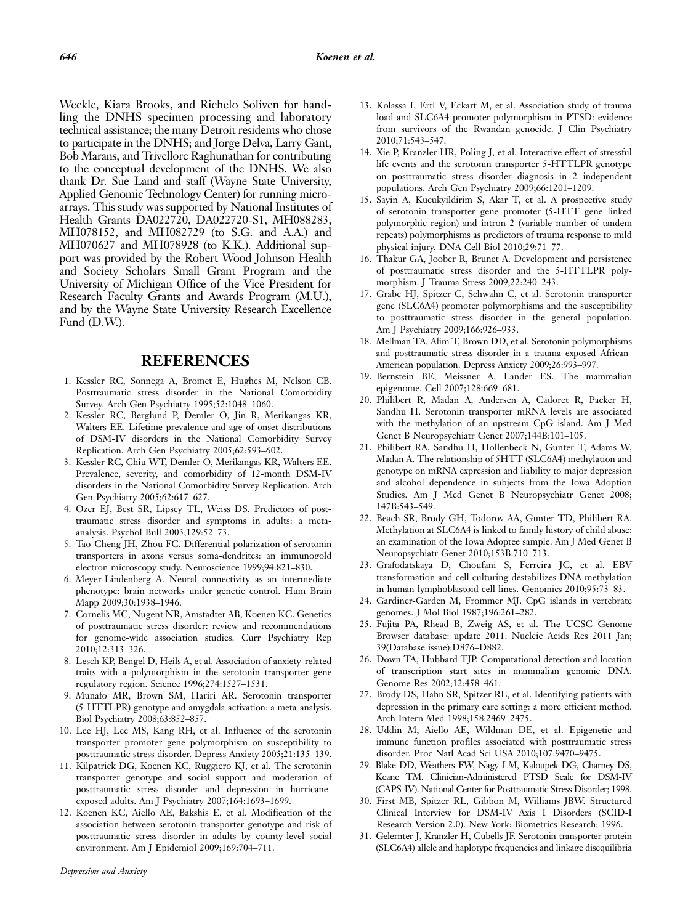Weckle, Kiara Brooks, and Richelo Soliven for handling the DNHS specimen processing and laboratory technical assistance; the many Detroit residents who chose to participate in the DNHS; and Jorge Delva, Larry Gant, Bob Marans, and Trivellore Raghunathan for contributing to the conceptual development of the DNHS. We also thank Dr. Sue Land and staff (Wayne State University, Applied Genomic Technology Center) for running microarrays. This study was supported by National Institutes of Health Grants DA022720, DA022720-S1, MH088283, MH078152, and MH082729 (to S.G. and A.A.) and MH070627 and MH078928 (to K.K.). Additional support was provided by the Robert Wood Johnson Health and Society Scholars Small Grant Program and the University of Michigan Office of the Vice President for Research Faculty Grants and Awards Program (M.U.), and by the Wayne State University Research Excellence Fund (D.W.).

#### REFERENCES

- 1. Kessler RC, Sonnega A, Bromet E, Hughes M, Nelson CB. Posttraumatic stress disorder in the National Comorbidity Survey. Arch Gen Psychiatry 1995;52:1048–1060.
- 2. Kessler RC, Berglund P, Demler O, Jin R, Merikangas KR, Walters EE. Lifetime prevalence and age-of-onset distributions of DSM-IV disorders in the National Comorbidity Survey Replication. Arch Gen Psychiatry 2005;62:593–602.
- 3. Kessler RC, Chiu WT, Demler O, Merikangas KR, Walters EE. Prevalence, severity, and comorbidity of 12-month DSM-IV disorders in the National Comorbidity Survey Replication. Arch Gen Psychiatry 2005;62:617–627.
- 4. Ozer EJ, Best SR, Lipsey TL, Weiss DS. Predictors of posttraumatic stress disorder and symptoms in adults: a metaanalysis. Psychol Bull 2003;129:52–73.
- 5. Tao-Cheng JH, Zhou FC. Differential polarization of serotonin transporters in axons versus soma-dendrites: an immunogold electron microscopy study. Neuroscience 1999;94:821–830.
- 6. Meyer-Lindenberg A. Neural connectivity as an intermediate phenotype: brain networks under genetic control. Hum Brain Mapp 2009;30:1938–1946.
- 7. Cornelis MC, Nugent NR, Amstadter AB, Koenen KC. Genetics of posttraumatic stress disorder: review and recommendations for genome-wide association studies. Curr Psychiatry Rep 2010;12:313–326.
- 8. Lesch KP, Bengel D, Heils A, et al. Association of anxiety-related traits with a polymorphism in the serotonin transporter gene regulatory region. Science 1996;274:1527–1531.
- 9. Munafo MR, Brown SM, Hariri AR. Serotonin transporter (5-HTTLPR) genotype and amygdala activation: a meta-analysis. Biol Psychiatry 2008;63:852–857.
- 10. Lee HJ, Lee MS, Kang RH, et al. Influence of the serotonin transporter promoter gene polymorphism on susceptibility to posttraumatic stress disorder. Depress Anxiety 2005;21:135–139.
- 11. Kilpatrick DG, Koenen KC, Ruggiero KJ, et al. The serotonin transporter genotype and social support and moderation of posttraumatic stress disorder and depression in hurricaneexposed adults. Am J Psychiatry 2007;164:1693–1699.
- 12. Koenen KC, Aiello AE, Bakshis E, et al. Modification of the association between serotonin transporter genotype and risk of posttraumatic stress disorder in adults by county-level social environment. Am J Epidemiol 2009;169:704–711.
- 13. Kolassa I, Ertl V, Eckart M, et al. Association study of trauma load and SLC6A4 promoter polymorphism in PTSD: evidence from survivors of the Rwandan genocide. J Clin Psychiatry 2010;71:543–547.
- 14. Xie P, Kranzler HR, Poling J, et al. Interactive effect of stressful life events and the serotonin transporter 5-HTTLPR genotype on posttraumatic stress disorder diagnosis in 2 independent populations. Arch Gen Psychiatry 2009;66:1201–1209.
- 15. Sayin A, Kucukyildirim S, Akar T, et al. A prospective study of serotonin transporter gene promoter (5-HTT gene linked polymorphic region) and intron 2 (variable number of tandem repeats) polymorphisms as predictors of trauma response to mild physical injury. DNA Cell Biol 2010;29:71–77.
- 16. Thakur GA, Joober R, Brunet A. Development and persistence of posttraumatic stress disorder and the 5-HTTLPR polymorphism. J Trauma Stress 2009;22:240–243.
- 17. Grabe HJ, Spitzer C, Schwahn C, et al. Serotonin transporter gene (SLC6A4) promoter polymorphisms and the susceptibility to posttraumatic stress disorder in the general population. Am J Psychiatry 2009;166:926–933.
- 18. Mellman TA, Alim T, Brown DD, et al. Serotonin polymorphisms and posttraumatic stress disorder in a trauma exposed African-American population. Depress Anxiety 2009;26:993–997.
- 19. Bernstein BE, Meissner A, Lander ES. The mammalian epigenome. Cell 2007;128:669–681.
- 20. Philibert R, Madan A, Andersen A, Cadoret R, Packer H, Sandhu H. Serotonin transporter mRNA levels are associated with the methylation of an upstream CpG island. Am J Med Genet B Neuropsychiatr Genet 2007;144B:101–105.
- 21. Philibert RA, Sandhu H, Hollenbeck N, Gunter T, Adams W, Madan A. The relationship of 5HTT (SLC6A4) methylation and genotype on mRNA expression and liability to major depression and alcohol dependence in subjects from the Iowa Adoption Studies. Am J Med Genet B Neuropsychiatr Genet 2008; 147B:543–549.
- 22. Beach SR, Brody GH, Todorov AA, Gunter TD, Philibert RA. Methylation at SLC6A4 is linked to family history of child abuse: an examination of the Iowa Adoptee sample. Am J Med Genet B Neuropsychiatr Genet 2010;153B:710–713.
- 23. Grafodatskaya D, Choufani S, Ferreira JC, et al. EBV transformation and cell culturing destabilizes DNA methylation in human lymphoblastoid cell lines. Genomics 2010;95:73–83.
- 24. Gardiner-Garden M, Frommer MJ. CpG islands in vertebrate genomes. J Mol Biol 1987;196:261–282.
- 25. Fujita PA, Rhead B, Zweig AS, et al. The UCSC Genome Browser database: update 2011. Nucleic Acids Res 2011 Jan; 39(Database issue):D876–D882.
- 26. Down TA, Hubbard TJP. Computational detection and location of transcription start sites in mammalian genomic DNA. Genome Res 2002;12:458–461.
- 27. Brody DS, Hahn SR, Spitzer RL, et al. Identifying patients with depression in the primary care setting: a more efficient method. Arch Intern Med 1998;158:2469–2475.
- 28. Uddin M, Aiello AE, Wildman DE, et al. Epigenetic and immune function profiles associated with posttraumatic stress disorder. Proc Natl Acad Sci USA 2010;107:9470–9475.
- 29. Blake DD, Weathers FW, Nagy LM, Kaloupek DG, Charney DS, Keane TM. Clinician-Administered PTSD Scale for DSM-IV (CAPS-IV). National Center for Posttraumatic Stress Disorder; 1998.
- 30. First MB, Spitzer RL, Gibbon M, Williams JBW. Structured Clinical Interview for DSM-IV Axis I Disorders (SCID-I Research Version 2.0). New York: Biometrics Research; 1996.
- 31. Gelernter J, Kranzler H, Cubells JF. Serotonin transporter protein (SLC6A4) allele and haplotype frequencies and linkage disequilibria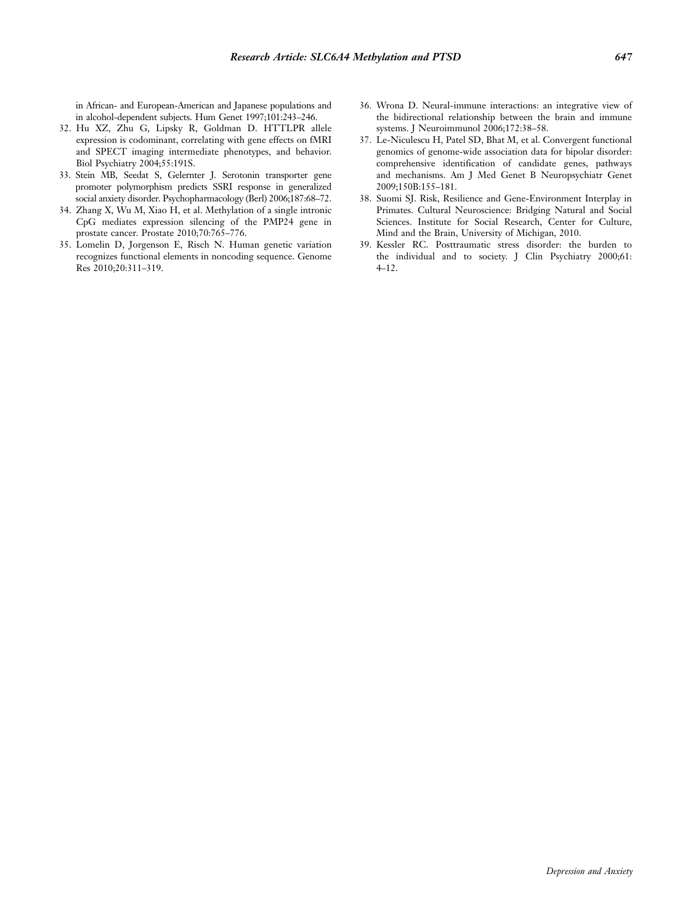in African- and European-American and Japanese populations and in alcohol-dependent subjects. Hum Genet 1997;101:243–246.

- 32. Hu XZ, Zhu G, Lipsky R, Goldman D. HTTLPR allele expression is codominant, correlating with gene effects on fMRI and SPECT imaging intermediate phenotypes, and behavior. Biol Psychiatry 2004;55:191S.
- 33. Stein MB, Seedat S, Gelernter J. Serotonin transporter gene promoter polymorphism predicts SSRI response in generalized social anxiety disorder. Psychopharmacology (Berl) 2006;187:68–72.
- 34. Zhang X, Wu M, Xiao H, et al. Methylation of a single intronic CpG mediates expression silencing of the PMP24 gene in prostate cancer. Prostate 2010;70:765–776.
- 35. Lomelin D, Jorgenson E, Risch N. Human genetic variation recognizes functional elements in noncoding sequence. Genome Res 2010;20:311–319.
- 36. Wrona D. Neural-immune interactions: an integrative view of the bidirectional relationship between the brain and immune systems. J Neuroimmunol 2006;172:38–58.
- 37. Le-Niculescu H, Patel SD, Bhat M, et al. Convergent functional genomics of genome-wide association data for bipolar disorder: comprehensive identification of candidate genes, pathways and mechanisms. Am J Med Genet B Neuropsychiatr Genet 2009;150B:155–181.
- 38. Suomi SJ. Risk, Resilience and Gene-Environment Interplay in Primates. Cultural Neuroscience: Bridging Natural and Social Sciences. Institute for Social Research, Center for Culture, Mind and the Brain, University of Michigan, 2010.
- 39. Kessler RC. Posttraumatic stress disorder: the burden to the individual and to society. J Clin Psychiatry 2000;61: 4–12.